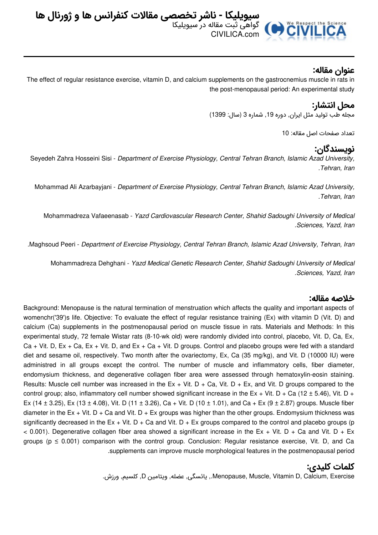

## **عنوان مقاله:**

The effect of regular resistance exercise, vitamin D, and calcium supplements on the gastrocnemius muscle in rats in the post-menopausal period: An experimental study

# **محل انتشار:**

مجله طب تولید مثل ایران, دوره ,19 شماره 3 (سال: 1399)

تعداد صفحات اصل مقاله: 10

## **نویسندگان:**

Seyedeh Zahra Hosseini Sisi - *Department of Exercise Physiology, Central Tehran Branch, Islamic Azad University, .Tehran, Iran*

Mohammad Ali Azarbayjani - *Department of Exercise Physiology, Central Tehran Branch, Islamic Azad University, .Tehran, Iran*

Mohammadreza Vafaeenasab - *Yazd Cardiovascular Research Center, Shahid Sadoughi University of Medical .Sciences, Yazd, Iran*

*.*Maghsoud Peeri - *Department of Exercise Physiology, Central Tehran Branch, Islamic Azad University, Tehran, Iran*

Mohammadreza Dehghani - *Yazd Medical Genetic Research Center, Shahid Sadoughi University of Medical .Sciences, Yazd, Iran*

#### **خلاصه مقاله:**

Background: Menopause is the natural termination of menstruation which affects the quality and important aspects of womenchr('39')s life. Objective: To evaluate the effect of regular resistance training (Ex) with vitamin D (Vit. D) and calcium (Ca) supplements in the postmenopausal period on muscle tissue in rats. Materials and Methods: In this experimental study, 72 female Wistar rats (8-10-wk old) were randomly divided into control, placebo, Vit. D, Ca, Ex, Ca + Vit. D, Ex + Ca, Ex + Vit. D, and Ex + Ca + Vit. D groups. Control and placebo groups were fed with a standard diet and sesame oil, respectively. Two month after the ovariectomy, Ex, Ca (35 mg/kg), and Vit. D (10000 IU) were administred in all groups except the control. The number of muscle and inflammatory cells, fiber diameter, endomysium thickness, and degenerative collagen fiber area were assessed through hematoxylin-eosin staining. Results: Muscle cell number was increased in the Ex + Vit. D + Ca, Vit. D + Ex, and Vit. D groups compared to the control group; also, inflammatory cell number showed significant increase in the Ex + Vit. D + Ca (12  $\pm$  5.46), Vit. D + Ex (14  $\pm$  3.25), Ex (13  $\pm$  4.08), Vit. D (11  $\pm$  3.26), Ca + Vit. D (10  $\pm$  1.01), and Ca + Ex (9  $\pm$  2.87) groups. Muscle fiber diameter in the Ex + Vit. D + Ca and Vit. D + Ex groups was higher than the other groups. Endomysium thickness was significantly decreased in the Ex + Vit.  $D + Ca$  and Vit.  $D + Ex$  groups compared to the control and placebo groups (p  $<$  0.001). Degenerative collagen fiber area showed a significant increase in the Ex + Vit. D + Ca and Vit. D + Ex groups ( $p \le 0.001$ ) comparison with the control group. Conclusion: Regular resistance exercise, Vit. D, and Ca .supplements can improve muscle morphological features in the postmenopausal period

#### **کلمات کلیدی:**

.ورزش ,کلسیم ,D ویتامین ,عضله ,یائسگی ,.Menopause, Muscle, Vitamin D, Calcium, Exercise